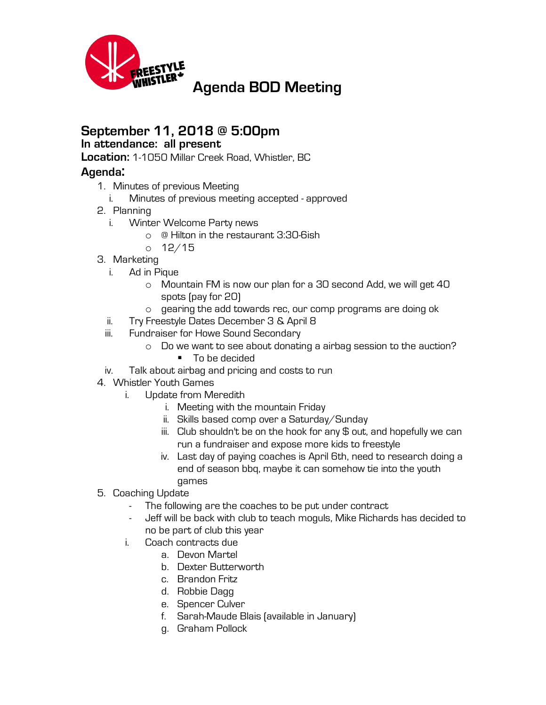

## **September 11, 2018 @ 5:00pm**

## **In attendance: all present**

**Location:** 1-1050 Millar Creek Road, Whistler, BC

## **Agenda:**

- 1. Minutes of previous Meeting
	- i. Minutes of previous meeting accepted approved
- 2. Planning
	- i. Winter Welcome Party news
		- o @ Hilton in the restaurant 3:30-6ish
		- o 12/15
- 3. Marketing
	- i. Ad in Pique
		- o Mountain FM is now our plan for a 30 second Add, we will get 40 spots (pay for 20)
		- o gearing the add towards rec, our comp programs are doing ok
	- ii. Try Freestyle Dates December 3 & April 8
	- iii. Fundraiser for Howe Sound Secondary
		- o Do we want to see about donating a airbag session to the auction?
			- To be decided
	- iv. Talk about airbag and pricing and costs to run
- 4. Whistler Youth Games
	- i. Update from Meredith
		- i. Meeting with the mountain Friday
		- ii. Skills based comp over a Saturday/Sunday
		- $iii.$  Club shouldn't be on the hook for any  $\frac{1}{2}$  out, and hopefully we can run a fundraiser and expose more kids to freestyle
		- iv. Last day of paying coaches is April 6th, need to research doing a end of season bbq, maybe it can somehow tie into the youth games
- 5. Coaching Update
	- The following are the coaches to be put under contract
	- Jeff will be back with club to teach moguls, Mike Richards has decided to no be part of club this year
	- i. Coach contracts due
		- a. Devon Martel
		- b. Dexter Butterworth
		- c. Brandon Fritz
		- d. Robbie Dagg
		- e. Spencer Culver
		- f. Sarah-Maude Blais (available in January)
		- g. Graham Pollock